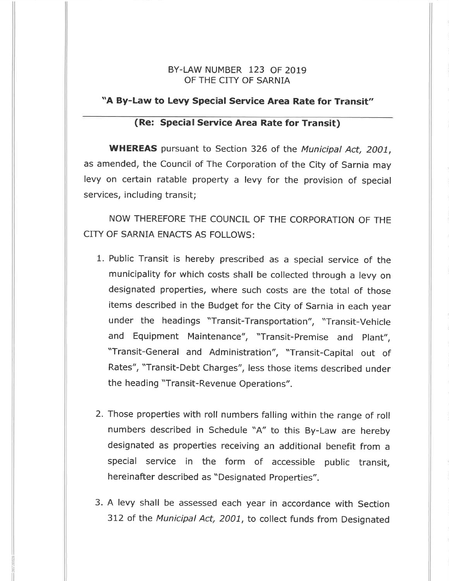# BY-LAW NUMBER I23 OF <sup>2019</sup> OF THE CITY OF SARNIA

## "A By-Law to Levy Special Service Area Rate for Transit"

### (Re: Special Service Area Rate for Transit)

WHEREAS pursuant to Section 326 of the Municipal Act, 2001, as amended, the Council of The Corporation of the City of Sarnia may levy on certain ratable property a levy for the provision of special services, including transit;

NOW THEREFORE THE COUNCIL OF THE CORPORATION OF THE CITY OF SARNIA ENACTS AS FOLLOWS:

- 1. Public Transit is hereby prescribed as a special service of the municipality for which costs shall be collected through a levy on designated properties, where such costs are the total of those items described in the Budget for the city of sarnia in each year under the headings "Transit-Transportation", "Transit-Vehicle and Equipment Maintenance", "Transit-Premise and Plant", "Transit-General and Administration", "Transit-Capital out of Rates", "Transit-Debt Charges", less those items described under the heading "Transit-Revenue Operations".
- 2. Those properties with roll numbers falling within the range of roll numbers described in Schedule "4" to this By-Law are hereby designated as properties receiving an additional benefit from a special service in the form of accessible public transit, hereinafter described as "Designated Properties".
- 3. A levy shall be assessed each year in accordance with Section 3L2 of the Municipal Act, 2001, to collect funds from Designated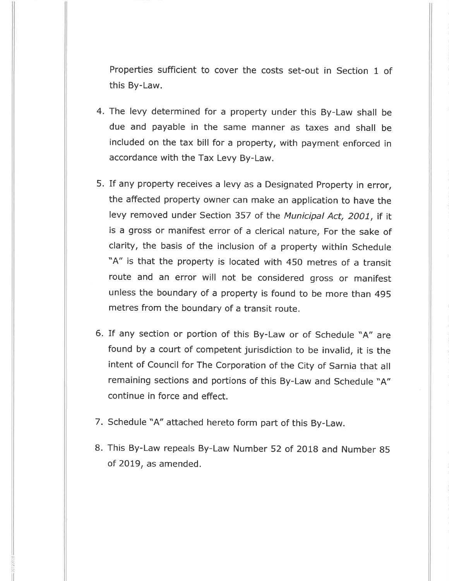Properties sufficient to cover the costs set-out in Section 1 of this By-Law.

- 4. The levy determined for a property under this By-Law shall be due and payable in the same manner as taxes and shall be included on the tax bill for a property, with payment enforced in accordance with the Tax Levy By-Law.
- 5. If any property receives a levy as a Designated Property in error, the affected property owner can make an application to have the levy removed under Section 357 of the Municipal Act, 2001, if it is a gross or manifest error of a clerical nature, For the sake of clarity, the basis of the inclusion of a property within schedule "4" is that the property is located with 450 metres of a transit route and an error will not be considered gross or manifest unless the boundary of a property is found to be more than 495 metres from the boundary of a transit route.
- 6. If any section or portion of this By-Law or of Schedule "A" are found by a court of competent jurisdiction to be invalid, it is the intent of Council for The Corporation of the City of Sarnia that all remaining sections and portions of this By-Law and Schedule "A" continue in force and effect.
- 7. Schedule "4" attached hereto form part of this By-Law
- B. This By-Law repeals By-Law Number 52 of 2018 and Number g5 of 2Ot9, as amended.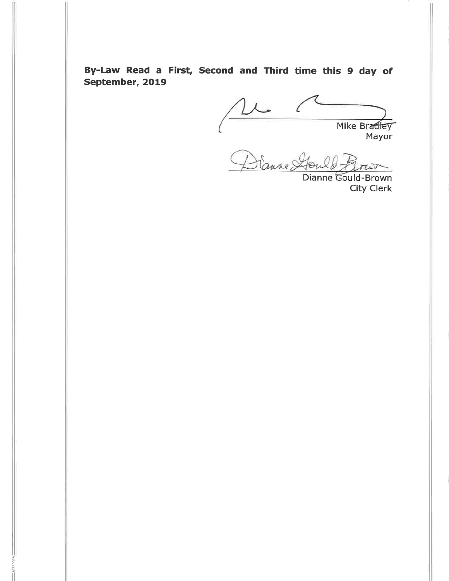By-Law Read a First, Second and Third time this 9 day of September, 2O19

= 3072002

Mike Bradley Mayor

Dianne Ste  $\pi$ 

Dianne Gould-Brown City Clerk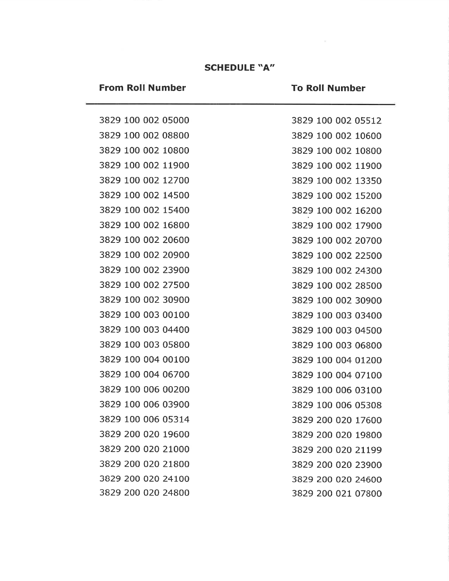# **SCHEDULE "A"**

# **From Roll Number**

# **To Roll Number**

|  |  | 3829 100 002 05000 |  |
|--|--|--------------------|--|
|  |  | 3829 100 002 08800 |  |
|  |  | 3829 100 002 10800 |  |
|  |  | 3829 100 002 11900 |  |
|  |  | 3829 100 002 12700 |  |
|  |  | 3829 100 002 14500 |  |
|  |  | 3829 100 002 15400 |  |
|  |  | 3829 100 002 16800 |  |
|  |  | 3829 100 002 20600 |  |
|  |  | 3829 100 002 20900 |  |
|  |  | 3829 100 002 23900 |  |
|  |  | 3829 100 002 27500 |  |
|  |  | 3829 100 002 30900 |  |
|  |  | 3829 100 003 00100 |  |
|  |  | 3829 100 003 04400 |  |
|  |  | 3829 100 003 05800 |  |
|  |  | 3829 100 004 00100 |  |
|  |  | 3829 100 004 06700 |  |
|  |  | 3829 100 006 00200 |  |
|  |  | 3829 100 006 03900 |  |
|  |  | 3829 100 006 05314 |  |
|  |  | 3829 200 020 19600 |  |
|  |  | 3829 200 020 21000 |  |
|  |  | 3829 200 020 21800 |  |
|  |  | 3829 200 020 24100 |  |
|  |  | 3829 200 020 24800 |  |

|      |     | 3829 100 002 05512 |
|------|-----|--------------------|
|      |     | 3829 100 002 10600 |
|      |     | 3829 100 002 10800 |
| 3829 |     | 100 002 11900      |
| 3829 |     | 100 002 13350      |
|      |     | 3829 100 002 15200 |
|      |     | 3829 100 002 16200 |
|      |     | 3829 100 002 17900 |
|      |     | 3829 100 002 20700 |
|      |     | 3829 100 002 22500 |
| 3829 |     | 100 002 24300      |
|      |     | 3829 100 002 28500 |
|      |     | 3829 100 002 30900 |
| 3829 |     | 100 003 03400      |
|      |     | 3829 100 003 04500 |
|      |     | 3829 100 003 06800 |
| 3829 | 100 | 004 01200          |
|      |     | 3829 100 004 07100 |
| 3829 | 100 | 006 03100          |
|      |     | 3829 100 006 05308 |
|      |     | 3829 200 020 17600 |
|      |     | 3829 200 020 19800 |
|      |     | 3829 200 020 21199 |
|      |     | 3829 200 020 23900 |
|      |     | 3829 200 020 24600 |
|      |     | 3829 200 021 07800 |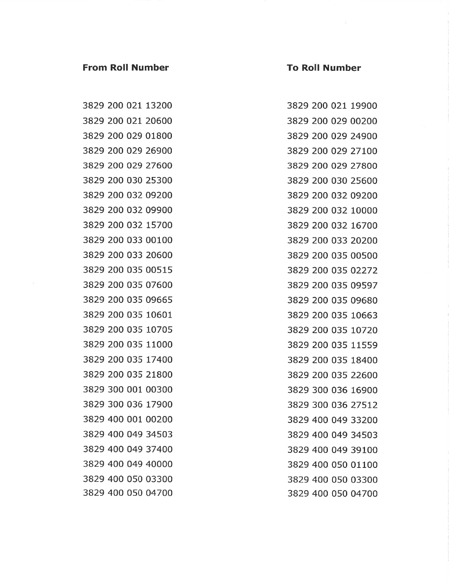#### **From Roll Number**

#### **To Roll Number**